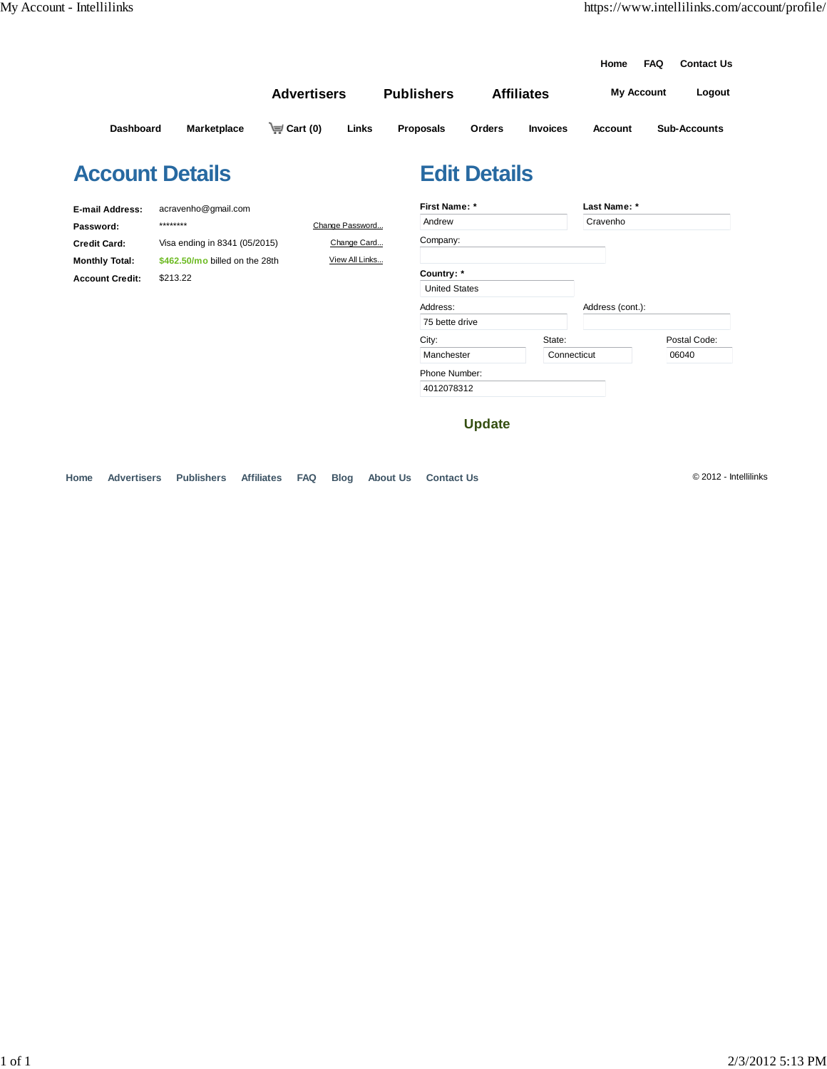|                        |                     |                    |                 |                   |                     |                   | Home              | <b>FAQ</b> | <b>Contact Us</b>   |
|------------------------|---------------------|--------------------|-----------------|-------------------|---------------------|-------------------|-------------------|------------|---------------------|
|                        |                     | <b>Advertisers</b> |                 | <b>Publishers</b> |                     | <b>Affiliates</b> | <b>My Account</b> |            | Logout              |
| Dashboard              | <b>Marketplace</b>  | $\equiv$ Cart (0)  | Links           | <b>Proposals</b>  | Orders              | <b>Invoices</b>   | Account           |            | <b>Sub-Accounts</b> |
| <b>Account Details</b> |                     |                    |                 |                   | <b>Edit Details</b> |                   |                   |            |                     |
| <b>E-mail Address:</b> | acravenho@gmail.com |                    |                 | First Name: *     |                     |                   | Last Name: *      |            |                     |
| Password:              | ********            |                    | Change Password | Andrew            |                     |                   | Cravenho          |            |                     |

| Password:              | ********                       | Change Password | Andrew               |             | Cravenho         |              |
|------------------------|--------------------------------|-----------------|----------------------|-------------|------------------|--------------|
| <b>Credit Card:</b>    | Visa ending in 8341 (05/2015)  | Change Card     | Company:             |             |                  |              |
| <b>Monthly Total:</b>  | \$462,50/mo billed on the 28th | View All Links  |                      |             |                  |              |
| <b>Account Credit:</b> | \$213.22                       |                 | Country: *           |             |                  |              |
|                        |                                |                 | <b>United States</b> |             |                  |              |
|                        |                                |                 | Address:             |             | Address (cont.): |              |
|                        |                                |                 | 75 bette drive       |             |                  |              |
|                        |                                |                 | City:                | State:      |                  | Postal Code: |
|                        |                                |                 | Manchester           | Connecticut |                  | 06040        |
|                        |                                |                 | Phone Number:        |             |                  |              |
|                        |                                |                 | 4012078312           |             |                  |              |

**Update**

**Home Advertisers Publishers Affiliates FAQ Blog About Us Contact Us** © 2012 - Intellilinks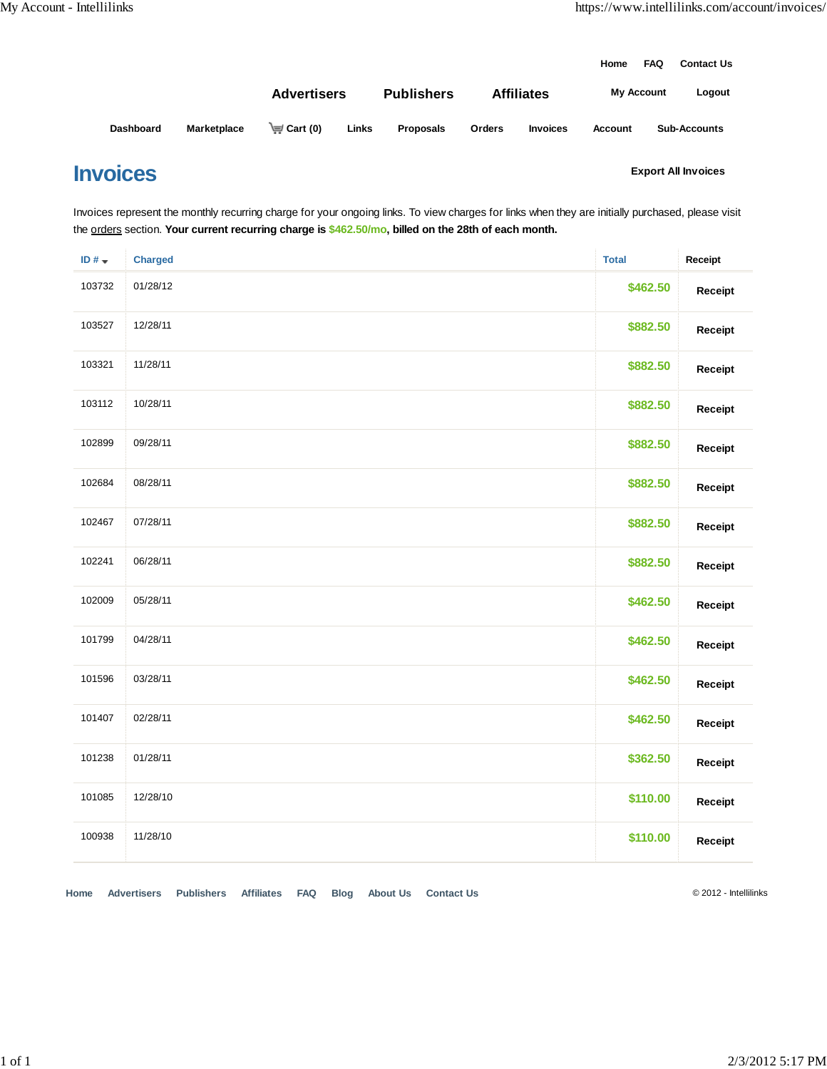|                  |             |                    |       |                   |               |                   | Home              | <b>FAQ</b> | <b>Contact Us</b>   |
|------------------|-------------|--------------------|-------|-------------------|---------------|-------------------|-------------------|------------|---------------------|
|                  |             | <b>Advertisers</b> |       | <b>Publishers</b> |               | <b>Affiliates</b> | <b>My Account</b> |            | Logout              |
| <b>Dashboard</b> | Marketplace | $\equiv$ Cart (0)  | Links | <b>Proposals</b>  | <b>Orders</b> | <b>Invoices</b>   | <b>Account</b>    |            | <b>Sub-Accounts</b> |

## **Invoices**

**Export All Invoices**

Invoices represent the monthly recurring charge for your ongoing links. To view charges for links when they are initially purchased, please visit the orders section. **Your current recurring charge is \$462.50/mo, billed on the 28th of each month.**

| ID# $\star$ | <b>Charged</b> | <b>Total</b> | Receipt |
|-------------|----------------|--------------|---------|
| 103732      | 01/28/12       | \$462.50     | Receipt |
| 103527      | 12/28/11       | \$882.50     | Receipt |
| 103321      | 11/28/11       | \$882.50     | Receipt |
| 103112      | 10/28/11       | \$882.50     | Receipt |
| 102899      | 09/28/11       | \$882.50     | Receipt |
| 102684      | 08/28/11       | \$882.50     | Receipt |
| 102467      | 07/28/11       | \$882.50     | Receipt |
| 102241      | 06/28/11       | \$882.50     | Receipt |
| 102009      | 05/28/11       | \$462.50     | Receipt |
| 101799      | 04/28/11       | \$462.50     | Receipt |
| 101596      | 03/28/11       | \$462.50     | Receipt |
| 101407      | 02/28/11       | \$462.50     | Receipt |
| 101238      | 01/28/11       | \$362.50     | Receipt |
| 101085      | 12/28/10       | \$110.00     | Receipt |
| 100938      | 11/28/10       | \$110.00     | Receipt |

**Home Advertisers Publishers Affiliates FAQ Blog About Us Contact Us** © 2012 - Intellilinks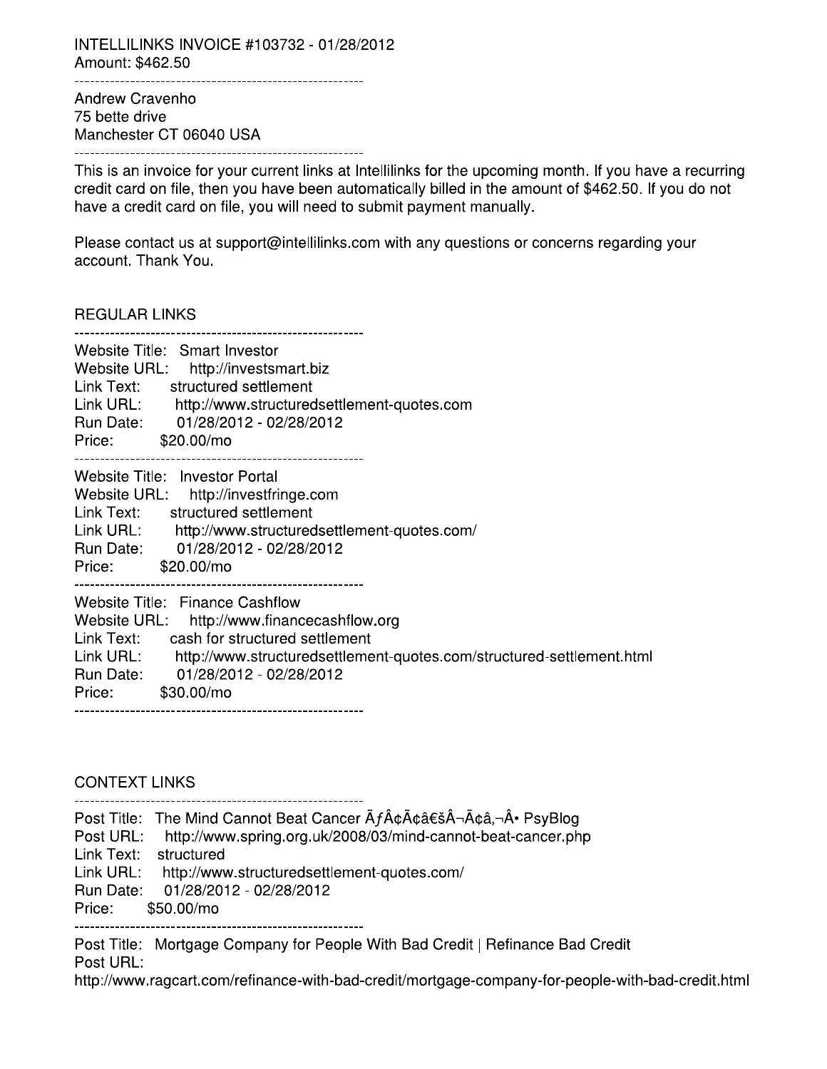INTELLILINKS INVOICE #103732 - 01/28/2012 Amount: \$462.50 

Andrew Cravenho 75 bette drive Manchester CT 06040 USA 

This is an invoice for your current links at Intellilinks for the upcoming month. If you have a recurring credit card on file, then you have been automatically billed in the amount of \$462.50. If you do not have a credit card on file, you will need to submit payment manually.

Please contact us at support@intellilinks.com with any questions or concerns regarding your account. Thank You.

**REGULAR LINKS** 

| Website Title: Smart Investor<br>Website URL: http://investsmart.biz<br>Link Text: structured settlement<br>Link URL: http://www.structuredsettlement-quotes.com<br>Run Date: 01/28/2012 - 02/28/2012<br>Price: \$20,00/mo                                                     |
|--------------------------------------------------------------------------------------------------------------------------------------------------------------------------------------------------------------------------------------------------------------------------------|
| Website Title: Investor Portal<br>Website URL: http://investfringe.com<br>Link Text: structured settlement<br>Link URL: http://www.structuredsettlement-quotes.com/<br>Run Date: 01/28/2012 - 02/28/2012<br>Price: \$20,00/mo                                                  |
| Website Title: Finance Cashflow<br>Website URL: http://www.financecashflow.org<br>Link Text: cash for structured settlement<br>Link URL:<br>http://www.structuredsettlement-quotes.com/structured-settlement.html<br>Run Date: 01/28/2012 - 02/28/2012<br>\$30.00/mo<br>Price: |

**CONTEXT LINKS** 

Post Title: The Mind Cannot Beat Cancer  $\tilde{A}f\hat{A}\tilde{\alpha}\tilde{A}\tilde{\alpha}\tilde{B}+\tilde{A}\tilde{\alpha}\tilde{A}$  PsyBlog Post URL: http://www.spring.org.uk/2008/03/mind-cannot-beat-cancer.php Link Text: structured Link URL: http://www.structuredsettlement-quotes.com/ Run Date: 01/28/2012 - 02/28/2012 Price: \$50,00/mo 

Post Title: Mortgage Company for People With Bad Credit | Refinance Bad Credit Post URL:

http://www.ragcart.com/refinance-with-bad-credit/mortgage-company-for-people-with-bad-credit.html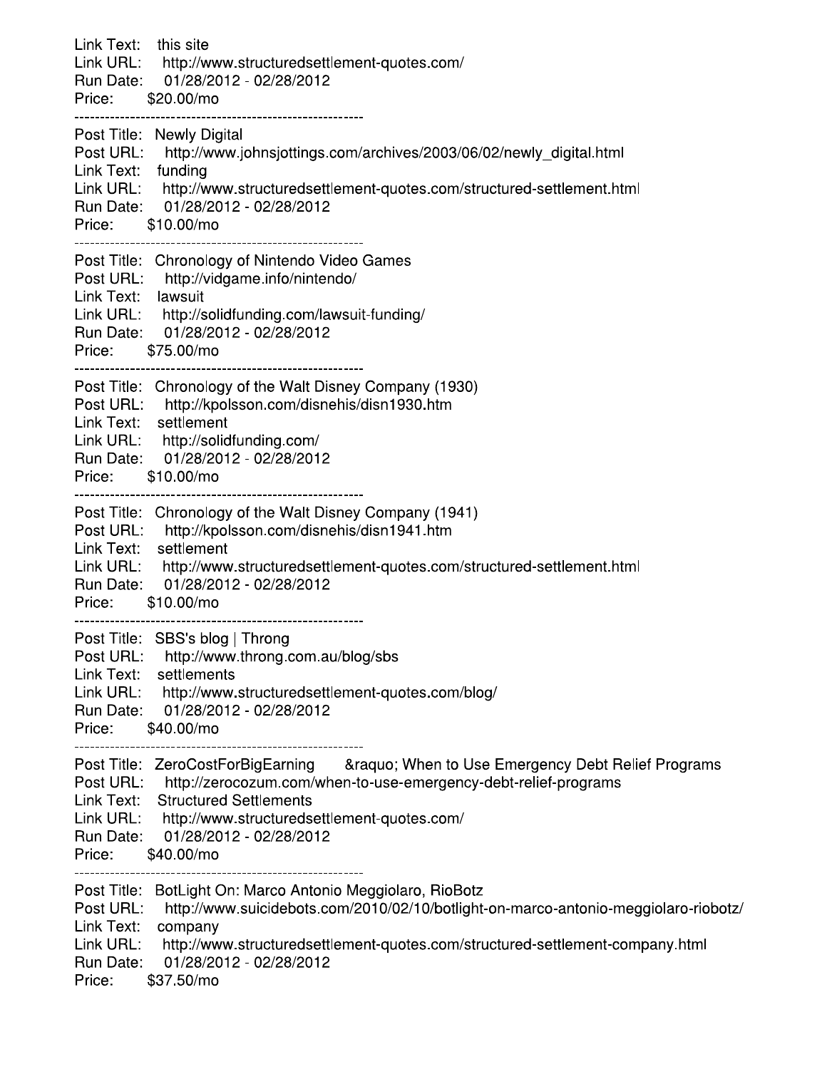| Link Text: this site<br>Price: \$20.00/mo                   | Link URL: http://www.structuredsettlement-quotes.com/<br>Run Date: 01/28/2012 - 02/28/2012                                                                                                                                                                                                  |
|-------------------------------------------------------------|---------------------------------------------------------------------------------------------------------------------------------------------------------------------------------------------------------------------------------------------------------------------------------------------|
| Link Text: funding<br>Price: \$10.00/mo                     | Post Title: Newly Digital<br>Post URL: http://www.johnsjottings.com/archives/2003/06/02/newly_digital.html<br>Link URL: http://www.structuredsettlement-quotes.com/structured-settlement.html<br>Run Date: 01/28/2012 - 02/28/2012                                                          |
| Link Text: lawsuit<br>Price: \$75.00/mo                     | Post Title: Chronology of Nintendo Video Games<br>Post URL: http://vidgame.info/nintendo/<br>Link URL: http://solidfunding.com/lawsuit-funding/<br>Run Date: 01/28/2012 - 02/28/2012                                                                                                        |
| Price: \$10.00/mo                                           | Post Title: Chronology of the Walt Disney Company (1930)<br>Post URL: http://kpolsson.com/disnehis/disn1930.htm<br>Link Text: settlement<br>Link URL: http://solidfunding.com/<br>Run Date: 01/28/2012 - 02/28/2012                                                                         |
| Price: \$10.00/mo                                           | Post Title: Chronology of the Walt Disney Company (1941)<br>Post URL: http://kpolsson.com/disnehis/disn1941.htm<br>Link Text: settlement<br>Link URL: http://www.structuredsettlement-quotes.com/structured-settlement.html<br>Run Date: 01/28/2012 - 02/28/2012                            |
| Post URL:<br>Link Text:<br>Link URL:<br>Run Date:<br>Price: | Post Title: SBS's blog   Throng<br>http://www.throng.com.au/blog/sbs<br>settlements<br>http://www.structuredsettlement-quotes.com/blog/<br>01/28/2012 - 02/28/2012<br>\$40.00/mo                                                                                                            |
| Link Text:<br>Link URL:<br>Run Date:<br>Price:              | Post Title: ZeroCostForBigEarning & Raquo; When to Use Emergency Debt Relief Programs<br>Post URL: http://zerocozum.com/when-to-use-emergency-debt-relief-programs<br><b>Structured Settlements</b><br>http://www.structuredsettlement-quotes.com/<br>01/28/2012 - 02/28/2012<br>\$40.00/mo |
| Post URL:<br>Link Text:<br>Link URL:<br>Run Date:<br>Price: | Post Title: BotLight On: Marco Antonio Meggiolaro, RioBotz<br>http://www.suicidebots.com/2010/02/10/botlight-on-marco-antonio-meggiolaro-riobotz/<br>company<br>http://www.structuredsettlement-quotes.com/structured-settlement-company.html<br>01/28/2012 - 02/28/2012<br>\$37.50/mo      |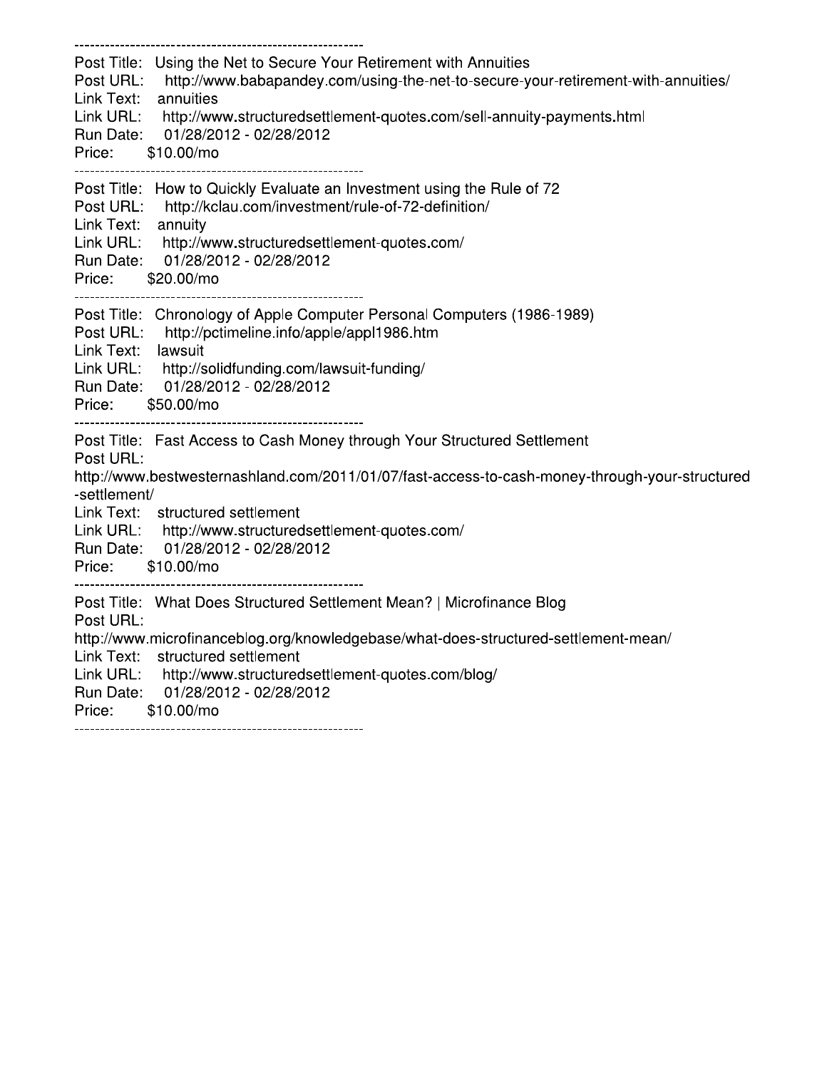| Link Text: annuities<br>Price: \$10.00/mo      | Post Title: Using the Net to Secure Your Retirement with Annuities<br>Post URL: http://www.babapandey.com/using-the-net-to-secure-your-retirement-with-annuities/<br>Link URL: http://www.structuredsettlement-quotes.com/sell-annuity-payments.html<br>Run Date: 01/28/2012 - 02/28/2012                    |
|------------------------------------------------|--------------------------------------------------------------------------------------------------------------------------------------------------------------------------------------------------------------------------------------------------------------------------------------------------------------|
| Link Text: annuity<br>Price: \$20.00/mo        | Post Title: How to Quickly Evaluate an Investment using the Rule of 72<br>Post URL: http://kclau.com/investment/rule-of-72-definition/<br>Link URL: http://www.structuredsettlement-quotes.com/<br>Run Date: 01/28/2012 - 02/28/2012                                                                         |
| Link Text: lawsuit<br>Price: \$50.00/mo        | Post Title: Chronology of Apple Computer Personal Computers (1986-1989)<br>Post URL: http://pctimeline.info/apple/appl1986.htm<br>Link URL: http://solidfunding.com/lawsuit-funding/<br>Run Date: 01/28/2012 - 02/28/2012                                                                                    |
| Post URL:<br>-settlement/<br>Price: \$10.00/mo | Post Title: Fast Access to Cash Money through Your Structured Settlement<br>http://www.bestwesternashland.com/2011/01/07/fast-access-to-cash-money-through-your-structured<br>Link Text: structured settlement<br>Link URL: http://www.structuredsettlement-quotes.com/<br>Run Date: 01/28/2012 - 02/28/2012 |
| Post URL:<br>Price: \$10.00/mo                 | Post Title: What Does Structured Settlement Mean?   Microfinance Blog<br>http://www.microfinanceblog.org/knowledgebase/what-does-structured-settlement-mean/<br>Link Text: structured settlement<br>Link URL: http://www.structuredsettlement-quotes.com/blog/<br>Run Date: 01/28/2012 - 02/28/2012          |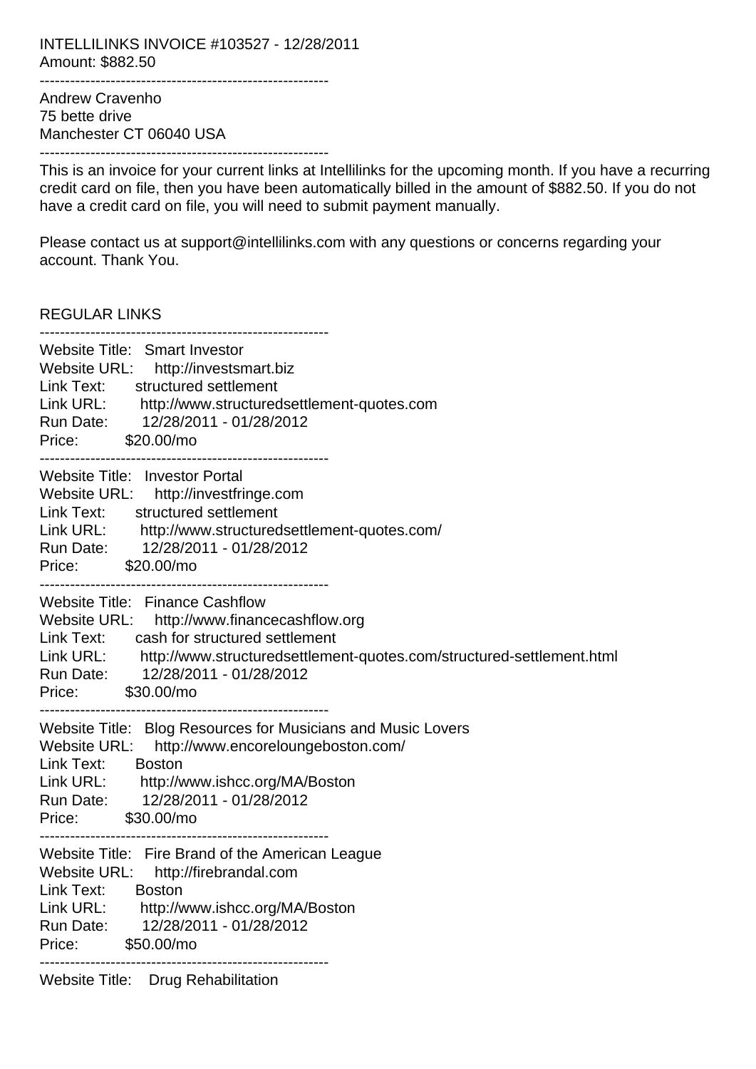INTELLILINKS INVOICE #103527 - 12/28/2011 Amount: \$882.50 ---------------------------------------------------------

Andrew Cravenho 75 bette drive Manchester CT 06040 USA ---------------------------------------------------------

This is an invoice for your current links at Intellilinks for the upcoming month. If you have a recurring credit card on file, then you have been automatically billed in the amount of \$882.50. If you do not have a credit card on file, you will need to submit payment manually.

Please contact us at support@intellilinks.com with any questions or concerns regarding your account. Thank You.

REGULAR LINKS

| Website Title: Smart Investor<br>Website URL: http://investsmart.biz<br>Link Text:<br>structured settlement<br>Link URL: http://www.structuredsettlement-quotes.com<br>Run Date: 12/28/2011 - 01/28/2012<br>Price: \$20.00/mo                                               |
|-----------------------------------------------------------------------------------------------------------------------------------------------------------------------------------------------------------------------------------------------------------------------------|
| Website Title: Investor Portal<br>Website URL: http://investfringe.com<br>structured settlement<br>Link Text:<br>Link URL: http://www.structuredsettlement-quotes.com/<br>Run Date: 12/28/2011 - 01/28/2012<br>Price: \$20.00/mo                                            |
| Website Title: Finance Cashflow<br>Website URL: http://www.financecashflow.org<br>cash for structured settlement<br>Link Text:<br>Link URL: http://www.structuredsettlement-quotes.com/structured-settlement.html<br>Run Date: 12/28/2011 - 01/28/2012<br>Price: \$30.00/mo |
| Website Title: Blog Resources for Musicians and Music Lovers<br>Website URL:<br>http://www.encoreloungeboston.com/<br>Link Text:<br><b>Boston</b><br>Link URL: http://www.ishcc.org/MA/Boston<br>Run Date: 12/28/2011 - 01/28/2012<br>Price: \$30.00/mo                     |
| Website Title: Fire Brand of the American League<br>Website URL: http://firebrandal.com<br>Link Text:<br><b>Boston</b><br>Link URL:<br>http://www.ishcc.org/MA/Boston<br>12/28/2011 - 01/28/2012<br>Run Date:<br>Price:<br>\$50.00/mo                                       |
| <b>Website Title:</b><br><b>Drug Rehabilitation</b>                                                                                                                                                                                                                         |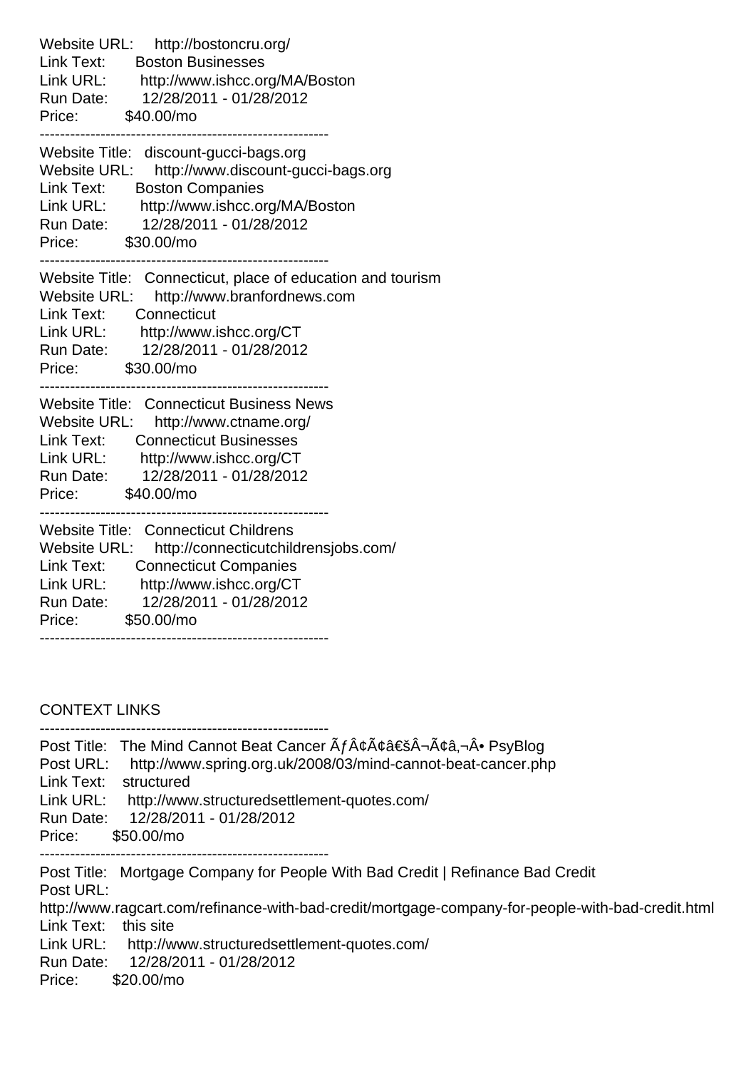Website URL: http://bostoncru.org/ Link Text: Boston Businesses Link URL: http://www.ishcc.org/MA/Boston Run Date: 12/28/2011 - 01/28/2012 Price: \$40.00/mo --------------------------------------------------------- Website Title: discount-gucci-bags.org Website URL: http://www.discount-gucci-bags.org Link Text: Boston Companies Link URL: http://www.ishcc.org/MA/Boston Run Date: 12/28/2011 - 01/28/2012 Price: \$30.00/mo --------------------------------------------------------- Website Title: Connecticut, place of education and tourism Website URL: http://www.branfordnews.com Link Text: Connecticut Link URL: http://www.ishcc.org/CT Run Date: 12/28/2011 - 01/28/2012 Price: \$30.00/mo --------------------------------------------------------- Website Title: Connecticut Business News Website URL: http://www.ctname.org/ Link Text: Connecticut Businesses Link URL: http://www.ishcc.org/CT Run Date: 12/28/2011 - 01/28/2012 Price: \$40.00/mo --------------------------------------------------------- Website Title: Connecticut Childrens Website URL: http://connecticutchildrensjobs.com/ Link Text: Connecticut Companies Link URL: http://www.ishcc.org/CT Run Date: 12/28/2011 - 01/28/2012 Price: \$50.00/mo ---------------------------------------------------------

CONTEXT LINKS

| Post URL:<br>Link Text:<br>Link URL:<br>Run Date:<br>Price: | Post Title: The Mind Cannot Beat Cancer $\tilde{A}f\hat{A}\varphi\tilde{A}\varphi\hat{a} \in \tilde{S}\hat{A} \neg \tilde{A}\varphi\hat{a}, \neg \hat{A} \bullet \text{PSyBlog}$<br>http://www.spring.org.uk/2008/03/mind-cannot-beat-cancer.php<br>structured<br>http://www.structuredsettlement-quotes.com/<br>12/28/2011 - 01/28/2012<br>\$50.00/mo |
|-------------------------------------------------------------|--------------------------------------------------------------------------------------------------------------------------------------------------------------------------------------------------------------------------------------------------------------------------------------------------------------------------------------------------------|
| Post URL:<br>Link Text:<br>Link URL:<br>Run Date:<br>Price: | Post Title: Mortgage Company for People With Bad Credit   Refinance Bad Credit<br>http://www.ragcart.com/refinance-with-bad-credit/mortgage-company-for-people-with-bad-credit.html<br>this site<br>http://www.structuredsettlement-quotes.com/<br>12/28/2011 - 01/28/2012<br>$$20.00/m$ o                                                             |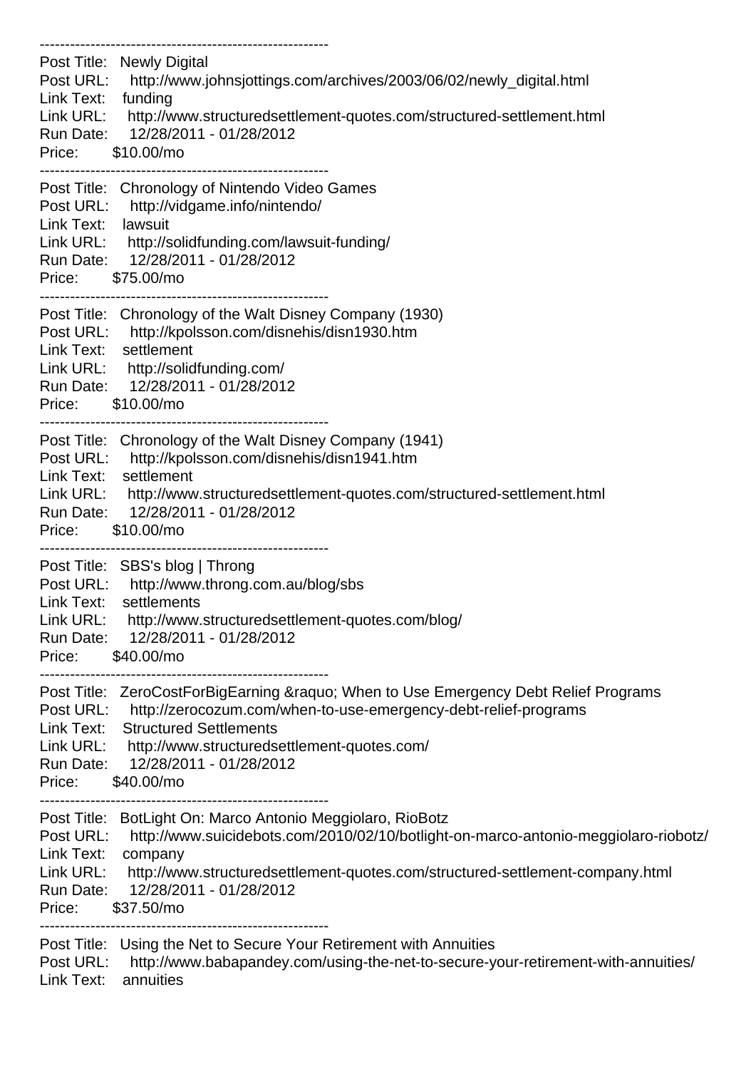--------------------------------------------------------- Post Title: Newly Digital Post URL: http://www.johnsjottings.com/archives/2003/06/02/newly\_digital.html Link Text: funding Link URL: http://www.structuredsettlement-quotes.com/structured-settlement.html Run Date: 12/28/2011 - 01/28/2012 Price: \$10.00/mo --------------------------------------------------------- Post Title: Chronology of Nintendo Video Games Post URL: http://vidgame.info/nintendo/ Link Text: lawsuit Link URL: http://solidfunding.com/lawsuit-funding/ Run Date: 12/28/2011 - 01/28/2012 Price: \$75.00/mo --------------------------------------------------------- Post Title: Chronology of the Walt Disney Company (1930) Post URL: http://kpolsson.com/disnehis/disn1930.htm Link Text: settlement Link URL: http://solidfunding.com/ Run Date: 12/28/2011 - 01/28/2012 Price: \$10.00/mo --------------------------------------------------------- Post Title: Chronology of the Walt Disney Company (1941) Post URL: http://kpolsson.com/disnehis/disn1941.htm Link Text: settlement Link URL: http://www.structuredsettlement-quotes.com/structured-settlement.html Run Date: 12/28/2011 - 01/28/2012 Price: \$10.00/mo --------------------------------------------------------- Post Title: SBS's blog | Throng Post URL: http://www.throng.com.au/blog/sbs Link Text: settlements Link URL: http://www.structuredsettlement-quotes.com/blog/ Run Date: 12/28/2011 - 01/28/2012 Price: \$40.00/mo --------------------------------------------------------- Post Title: ZeroCostForBigEarning & Raquo; When to Use Emergency Debt Relief Programs Post URL: http://zerocozum.com/when-to-use-emergency-debt-relief-programs Link Text: Structured Settlements Link URL: http://www.structuredsettlement-quotes.com/ Run Date: 12/28/2011 - 01/28/2012 Price: \$40.00/mo --------------------------------------------------------- Post Title: BotLight On: Marco Antonio Meggiolaro, RioBotz Post URL: http://www.suicidebots.com/2010/02/10/botlight-on-marco-antonio-meggiolaro-riobotz/ Link Text: company Link URL: http://www.structuredsettlement-quotes.com/structured-settlement-company.html Run Date: 12/28/2011 - 01/28/2012 Price: \$37.50/mo --------------------------------------------------------- Post Title: Using the Net to Secure Your Retirement with Annuities Post URL: http://www.babapandey.com/using-the-net-to-secure-your-retirement-with-annuities/ Link Text: annuities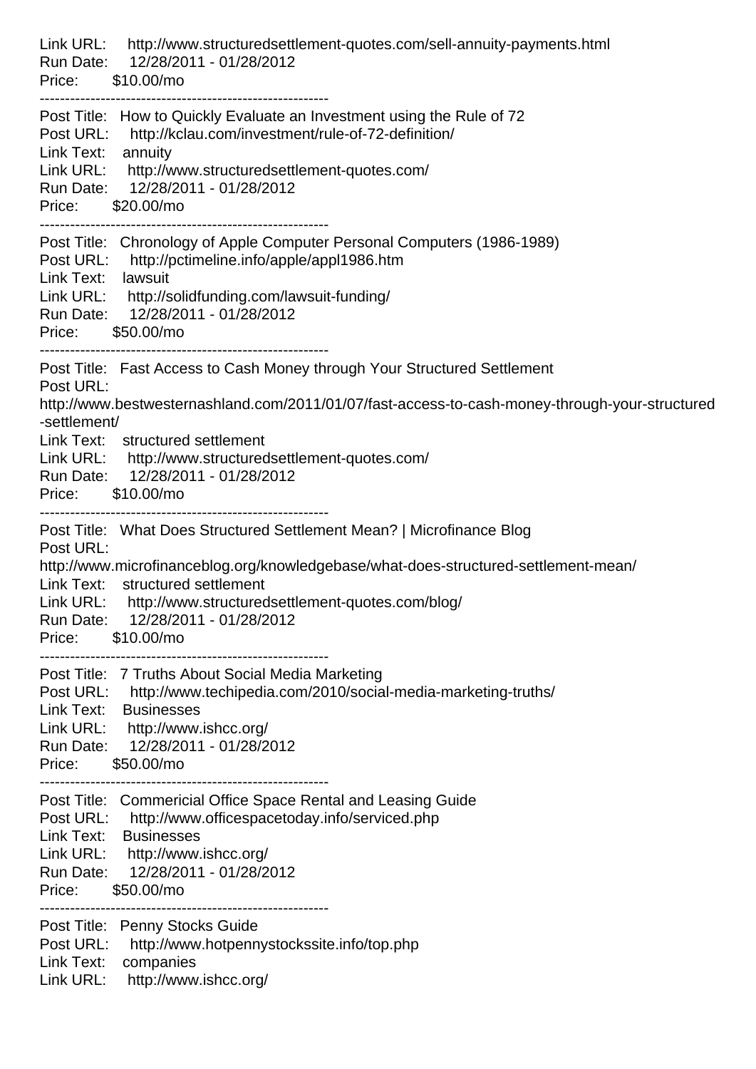| Link URL:<br>http://www.structuredsettlement-quotes.com/sell-annuity-payments.html<br>Run Date: 12/28/2011 - 01/28/2012<br>Price: \$10.00/mo                                                                                                                                                                                                                   |
|----------------------------------------------------------------------------------------------------------------------------------------------------------------------------------------------------------------------------------------------------------------------------------------------------------------------------------------------------------------|
| Post Title: How to Quickly Evaluate an Investment using the Rule of 72<br>Post URL: http://kclau.com/investment/rule-of-72-definition/<br>Link Text:<br>annuity<br>Link URL: http://www.structuredsettlement-quotes.com/<br>Run Date: 12/28/2011 - 01/28/2012<br>Price:<br>\$20.00/mo                                                                          |
| Post Title: Chronology of Apple Computer Personal Computers (1986-1989)<br>Post URL:<br>http://pctimeline.info/apple/appl1986.htm<br>Link Text: lawsuit<br>Link URL: http://solidfunding.com/lawsuit-funding/<br>Run Date: 12/28/2011 - 01/28/2012<br>Price: \$50.00/mo                                                                                        |
| Post Title: Fast Access to Cash Money through Your Structured Settlement<br>Post URL:<br>http://www.bestwesternashland.com/2011/01/07/fast-access-to-cash-money-through-your-structured<br>-settlement/<br>Link Text: structured settlement<br>Link URL: http://www.structuredsettlement-quotes.com/<br>Run Date: 12/28/2011 - 01/28/2012<br>Price: \$10.00/mo |
| Post Title: What Does Structured Settlement Mean?   Microfinance Blog<br>Post URL:<br>http://www.microfinanceblog.org/knowledgebase/what-does-structured-settlement-mean/<br>Link Text: structured settlement<br>Link URL: http://www.structuredsettlement-quotes.com/blog/<br>Run Date: 12/28/2011 - 01/28/2012<br>Price: \$10.00/mo                          |
| Post Title: 7 Truths About Social Media Marketing<br>Post URL: http://www.techipedia.com/2010/social-media-marketing-truths/<br>Link Text: Businesses<br>Link URL: http://www.ishcc.org/<br>Run Date: 12/28/2011 - 01/28/2012<br>\$50.00/mo<br>Price:                                                                                                          |
| Post Title: Commericial Office Space Rental and Leasing Guide<br>Post URL: http://www.officespacetoday.info/serviced.php<br>Link Text:<br><b>Businesses</b><br>Link URL: http://www.ishcc.org/<br>Run Date: 12/28/2011 - 01/28/2012<br>\$50.00/mo<br>Price:                                                                                                    |
| Post Title: Penny Stocks Guide<br>Post URL:<br>http://www.hotpennystockssite.info/top.php<br>Link Text: companies<br>Link URL: http://www.ishcc.org/                                                                                                                                                                                                           |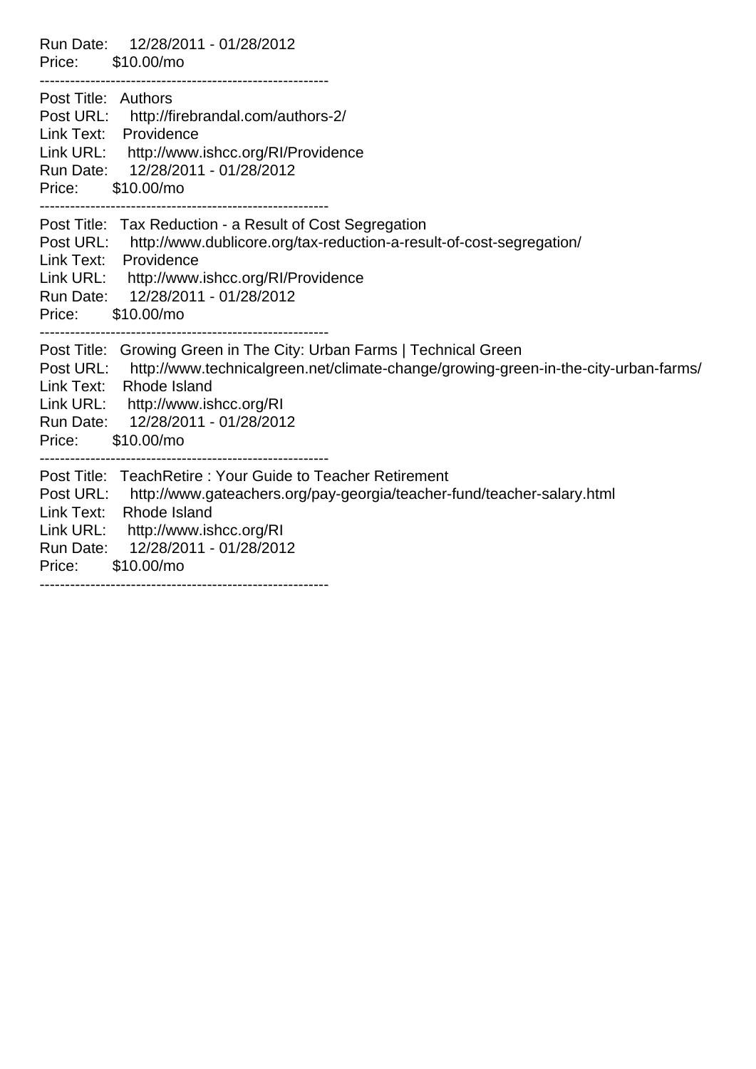| Run Date: 12/28/2011 - 01/28/2012<br>Price: \$10.00/mo                                                                                                                                                                                                                                             |
|----------------------------------------------------------------------------------------------------------------------------------------------------------------------------------------------------------------------------------------------------------------------------------------------------|
| Post Title: Authors<br>Post URL: http://firebrandal.com/authors-2/<br>Link Text: Providence<br>Link URL: http://www.ishcc.org/RI/Providence<br>Run Date: 12/28/2011 - 01/28/2012<br>Price:<br>\$10.00/mo                                                                                           |
| Post Title: Tax Reduction - a Result of Cost Segregation<br>Post URL: http://www.dublicore.org/tax-reduction-a-result-of-cost-segregation/<br>Link Text: Providence<br>Link URL: http://www.ishcc.org/RI/Providence<br>Run Date: 12/28/2011 - 01/28/2012<br>Price: \$10.00/mo                      |
| Post Title: Growing Green in The City: Urban Farms   Technical Green<br>Post URL:<br>http://www.technicalgreen.net/climate-change/growing-green-in-the-city-urban-farms/<br>Link Text: Rhode Island<br>Link URL: http://www.ishcc.org/RI<br>Run Date: 12/28/2011 - 01/28/2012<br>Price: \$10.00/mo |
| Post Title: TeachRetire: Your Guide to Teacher Retirement<br>Post URL: http://www.gateachers.org/pay-georgia/teacher-fund/teacher-salary.html<br>Link Text: Rhode Island<br>Link URL: http://www.ishcc.org/RI<br>Run Date: 12/28/2011 - 01/28/2012<br>Price: \$10.00/mo                            |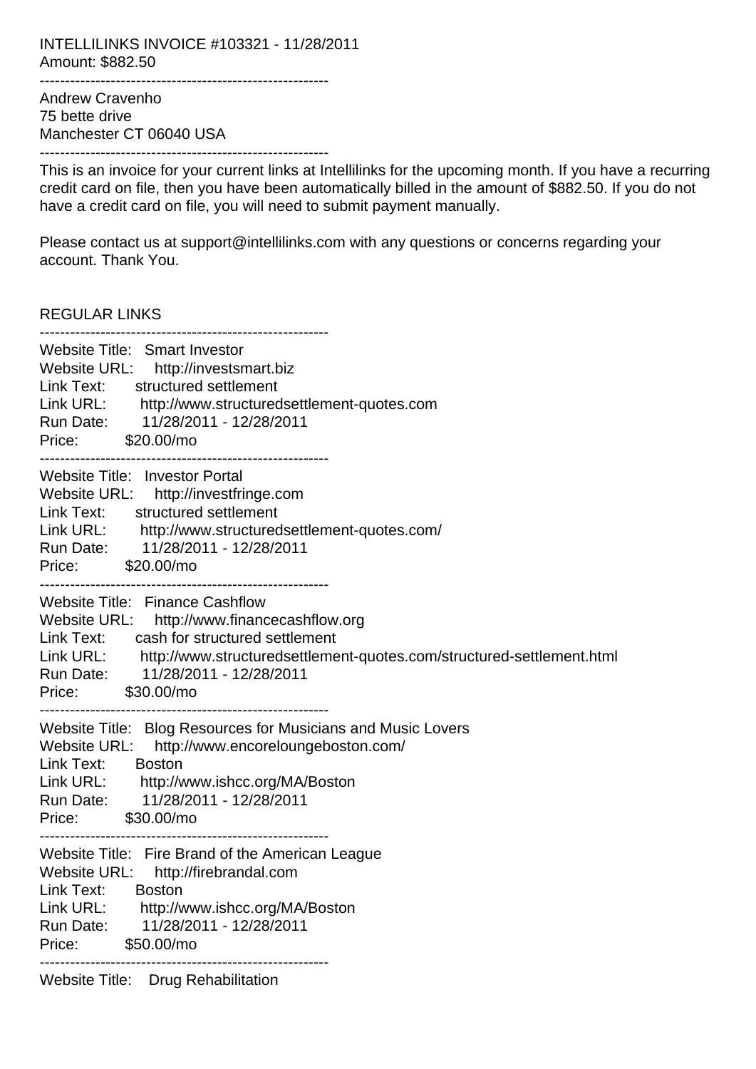INTELLILINKS INVOICE #103321 - 11/28/2011 Amount: \$882.50 ---------------------------------------------------------

Andrew Cravenho 75 bette drive Manchester CT 06040 USA ---------------------------------------------------------

This is an invoice for your current links at Intellilinks for the upcoming month. If you have a recurring credit card on file, then you have been automatically billed in the amount of \$882.50. If you do not have a credit card on file, you will need to submit payment manually.

Please contact us at support@intellilinks.com with any questions or concerns regarding your account. Thank You.

REGULAR LINKS

| Website Title: Smart Investor<br>Website URL: http://investsmart.biz<br>Link Text: structured settlement<br>Link URL: http://www.structuredsettlement-quotes.com<br>Run Date: 11/28/2011 - 12/28/2011<br>Price: \$20.00/mo                                                            |
|---------------------------------------------------------------------------------------------------------------------------------------------------------------------------------------------------------------------------------------------------------------------------------------|
| Website Title: Investor Portal<br>Website URL: http://investfringe.com<br>Link Text:<br>structured settlement<br>Link URL: http://www.structuredsettlement-quotes.com/<br>Run Date: 11/28/2011 - 12/28/2011<br>Price: \$20.00/mo                                                      |
| <b>Website Title: Finance Cashflow</b><br>Website URL: http://www.financecashflow.org<br>cash for structured settlement<br>Link Text:<br>Link URL:<br>http://www.structuredsettlement-quotes.com/structured-settlement.html<br>Run Date: 11/28/2011 - 12/28/2011<br>Price: \$30.00/mo |
| Website Title: Blog Resources for Musicians and Music Lovers<br>Website URL: http://www.encoreloungeboston.com/<br>Link Text:<br><b>Boston</b><br>Link URL: http://www.ishcc.org/MA/Boston<br>Run Date: 11/28/2011 - 12/28/2011<br>Price: \$30.00/mo                                  |
| Website Title: Fire Brand of the American League<br>Website URL: http://firebrandal.com<br>Link Text:<br><b>Boston</b><br>Link URL:<br>http://www.ishcc.org/MA/Boston<br>11/28/2011 - 12/28/2011<br>Run Date:<br>\$50.00/mo<br>Price:                                                 |
| <b>Website Title:</b><br><b>Drug Rehabilitation</b>                                                                                                                                                                                                                                   |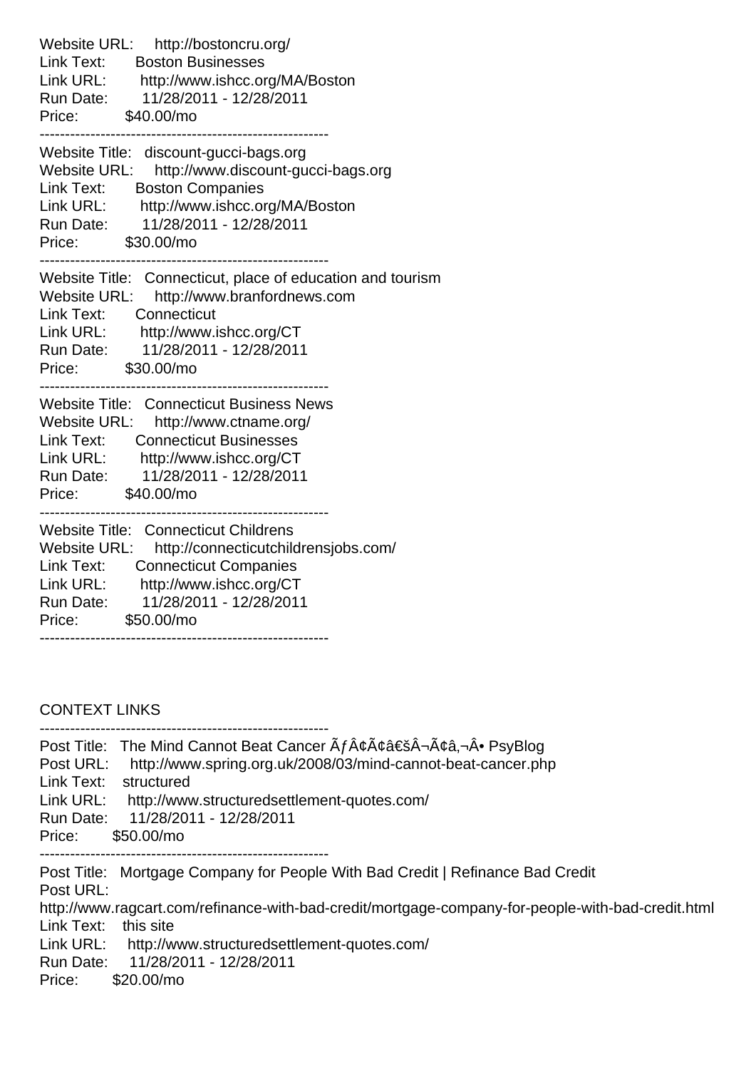Website URL: http://bostoncru.org/ Link Text: Boston Businesses Link URL: http://www.ishcc.org/MA/Boston Run Date: 11/28/2011 - 12/28/2011 Price: \$40.00/mo --------------------------------------------------------- Website Title: discount-gucci-bags.org Website URL: http://www.discount-gucci-bags.org Link Text: Boston Companies Link URL: http://www.ishcc.org/MA/Boston Run Date: 11/28/2011 - 12/28/2011 Price: \$30.00/mo --------------------------------------------------------- Website Title: Connecticut, place of education and tourism Website URL: http://www.branfordnews.com Link Text: Connecticut Link URL: http://www.ishcc.org/CT Run Date: 11/28/2011 - 12/28/2011 Price: \$30.00/mo --------------------------------------------------------- Website Title: Connecticut Business News Website URL: http://www.ctname.org/ Link Text: Connecticut Businesses Link URL: http://www.ishcc.org/CT Run Date: 11/28/2011 - 12/28/2011 Price: \$40.00/mo --------------------------------------------------------- Website Title: Connecticut Childrens Website URL: http://connecticutchildrensjobs.com/ Link Text: Connecticut Companies Link URL: http://www.ishcc.org/CT Run Date: 11/28/2011 - 12/28/2011 Price: \$50.00/mo ---------------------------------------------------------

CONTEXT LINKS

| Post URL:<br>Link Text:<br>Link URL:<br>Run Date:<br>Price: | Post Title: The Mind Cannot Beat Cancer $\tilde{A}f\hat{A}\varphi\tilde{A}\varphi\hat{a} \in \tilde{S}\hat{A} \neg \tilde{A}\varphi\hat{a}, \neg \hat{A} \bullet \text{PSyBlog}$<br>http://www.spring.org.uk/2008/03/mind-cannot-beat-cancer.php<br>structured<br>http://www.structuredsettlement-quotes.com/<br>11/28/2011 - 12/28/2011<br>\$50.00/mo |
|-------------------------------------------------------------|--------------------------------------------------------------------------------------------------------------------------------------------------------------------------------------------------------------------------------------------------------------------------------------------------------------------------------------------------------|
| Post URL:<br>Link Text:<br>Link URL:<br>Run Date:<br>Price: | Post Title: Mortgage Company for People With Bad Credit   Refinance Bad Credit<br>http://www.ragcart.com/refinance-with-bad-credit/mortgage-company-for-people-with-bad-credit.html<br>this site<br>http://www.structuredsettlement-quotes.com/<br>11/28/2011 - 12/28/2011<br>$$20.00/m$ o                                                             |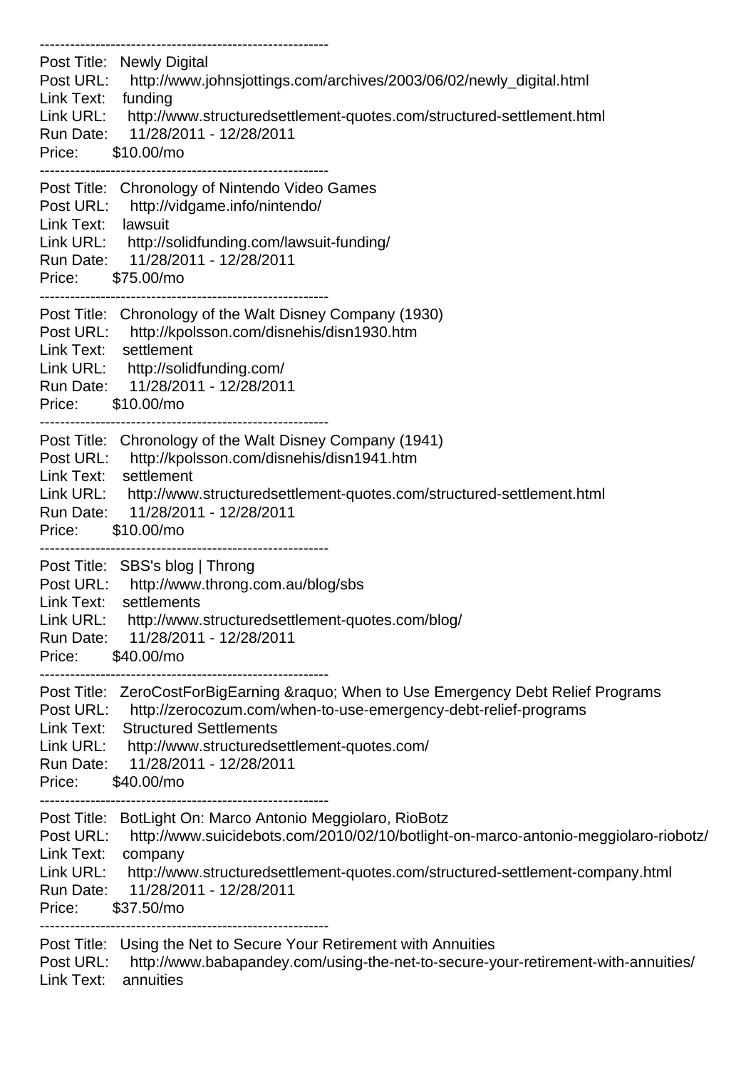--------------------------------------------------------- Post Title: Newly Digital Post URL: http://www.johnsjottings.com/archives/2003/06/02/newly\_digital.html Link Text: funding Link URL: http://www.structuredsettlement-quotes.com/structured-settlement.html Run Date: 11/28/2011 - 12/28/2011 Price: \$10.00/mo --------------------------------------------------------- Post Title: Chronology of Nintendo Video Games Post URL: http://vidgame.info/nintendo/ Link Text: lawsuit Link URL: http://solidfunding.com/lawsuit-funding/ Run Date: 11/28/2011 - 12/28/2011 Price: \$75.00/mo --------------------------------------------------------- Post Title: Chronology of the Walt Disney Company (1930) Post URL: http://kpolsson.com/disnehis/disn1930.htm Link Text: settlement Link URL: http://solidfunding.com/ Run Date: 11/28/2011 - 12/28/2011 Price: \$10.00/mo --------------------------------------------------------- Post Title: Chronology of the Walt Disney Company (1941) Post URL: http://kpolsson.com/disnehis/disn1941.htm Link Text: settlement Link URL: http://www.structuredsettlement-quotes.com/structured-settlement.html Run Date: 11/28/2011 - 12/28/2011 Price: \$10.00/mo --------------------------------------------------------- Post Title: SBS's blog | Throng Post URL: http://www.throng.com.au/blog/sbs Link Text: settlements Link URL: http://www.structuredsettlement-quotes.com/blog/ Run Date: 11/28/2011 - 12/28/2011 Price: \$40.00/mo --------------------------------------------------------- Post Title: ZeroCostForBigEarning & Raquo; When to Use Emergency Debt Relief Programs Post URL: http://zerocozum.com/when-to-use-emergency-debt-relief-programs Link Text: Structured Settlements Link URL: http://www.structuredsettlement-quotes.com/ Run Date: 11/28/2011 - 12/28/2011 Price: \$40.00/mo --------------------------------------------------------- Post Title: BotLight On: Marco Antonio Meggiolaro, RioBotz Post URL: http://www.suicidebots.com/2010/02/10/botlight-on-marco-antonio-meggiolaro-riobotz/ Link Text: company Link URL: http://www.structuredsettlement-quotes.com/structured-settlement-company.html Run Date: 11/28/2011 - 12/28/2011 Price: \$37.50/mo --------------------------------------------------------- Post Title: Using the Net to Secure Your Retirement with Annuities Post URL: http://www.babapandey.com/using-the-net-to-secure-your-retirement-with-annuities/

Link Text: annuities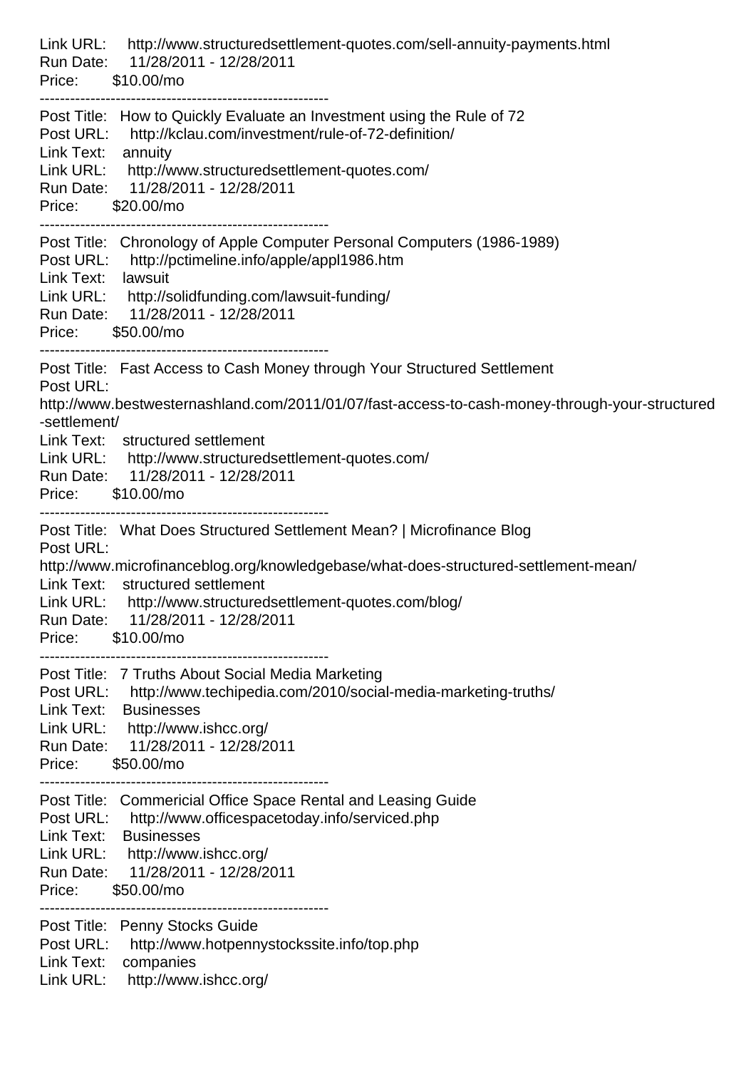| http://www.structuredsettlement-quotes.com/sell-annuity-payments.html<br>Link URL:<br>Run Date: 11/28/2011 - 12/28/2011<br>Price: \$10.00/mo                                                                                                                                                                                                                   |
|----------------------------------------------------------------------------------------------------------------------------------------------------------------------------------------------------------------------------------------------------------------------------------------------------------------------------------------------------------------|
| Post Title: How to Quickly Evaluate an Investment using the Rule of 72<br>Post URL: http://kclau.com/investment/rule-of-72-definition/<br>Link Text:<br>annuity<br>Link URL: http://www.structuredsettlement-quotes.com/<br>Run Date: 11/28/2011 - 12/28/2011<br>Price: \$20.00/mo                                                                             |
| Post Title: Chronology of Apple Computer Personal Computers (1986-1989)<br>Post URL: http://pctimeline.info/apple/appl1986.htm<br>Link Text: lawsuit<br>Link URL: http://solidfunding.com/lawsuit-funding/<br>Run Date: 11/28/2011 - 12/28/2011<br>Price: \$50.00/mo                                                                                           |
| Post Title: Fast Access to Cash Money through Your Structured Settlement<br>Post URL:<br>http://www.bestwesternashland.com/2011/01/07/fast-access-to-cash-money-through-your-structured<br>-settlement/<br>Link Text: structured settlement<br>Link URL: http://www.structuredsettlement-quotes.com/<br>Run Date: 11/28/2011 - 12/28/2011<br>Price: \$10.00/mo |
| Post Title: What Does Structured Settlement Mean?   Microfinance Blog<br>Post URL:<br>http://www.microfinanceblog.org/knowledgebase/what-does-structured-settlement-mean/<br>Link Text: structured settlement<br>Link URL: http://www.structuredsettlement-quotes.com/blog/<br>Run Date: 11/28/2011 - 12/28/2011<br>\$10.00/mo<br>Price:                       |
| Post Title: 7 Truths About Social Media Marketing<br>Post URL: http://www.techipedia.com/2010/social-media-marketing-truths/<br>Link Text: Businesses<br>Link URL: http://www.ishcc.org/<br>Run Date: 11/28/2011 - 12/28/2011<br>Price: \$50.00/mo                                                                                                             |
| Post Title: Commericial Office Space Rental and Leasing Guide<br>Post URL: http://www.officespacetoday.info/serviced.php<br>Link Text:<br><b>Businesses</b><br>Link URL: http://www.ishcc.org/<br>Run Date: 11/28/2011 - 12/28/2011<br>Price:<br>\$50.00/mo                                                                                                    |
| Post Title: Penny Stocks Guide<br>Post URL:<br>http://www.hotpennystockssite.info/top.php<br>Link Text: companies<br>Link URL: http://www.ishcc.org/                                                                                                                                                                                                           |